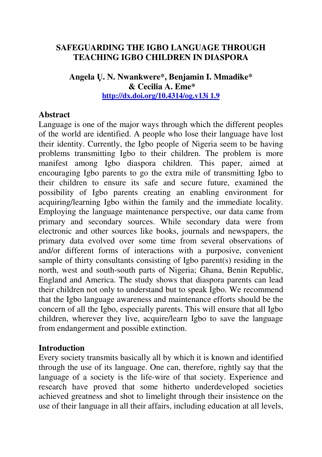#### **SAFEGUARDING THE IGBO LANGUAGE THROUGH TEACHING IGBO CHILDREN IN DIASPORA**

**Angela Ụ. N. Nwankwere\*, Benjamin I. Mmadike\* & Cecilia A. Eme\* http://dx.doi.org/10.4314/og.v13i 1.9**

#### **Abstract**

Language is one of the major ways through which the different peoples of the world are identified. A people who lose their language have lost their identity. Currently, the Igbo people of Nigeria seem to be having problems transmitting Igbo to their children. The problem is more manifest among Igbo diaspora children. This paper, aimed at encouraging Igbo parents to go the extra mile of transmitting Igbo to their children to ensure its safe and secure future, examined the possibility of Igbo parents creating an enabling environment for acquiring/learning Igbo within the family and the immediate locality. Employing the language maintenance perspective, our data came from primary and secondary sources. While secondary data were from electronic and other sources like books, journals and newspapers, the primary data evolved over some time from several observations of and/or different forms of interactions with a purposive, convenient sample of thirty consultants consisting of Igbo parent(s) residing in the north, west and south-south parts of Nigeria; Ghana, Benin Republic, England and America. The study shows that diaspora parents can lead their children not only to understand but to speak Igbo. We recommend that the Igbo language awareness and maintenance efforts should be the concern of all the Igbo, especially parents. This will ensure that all Igbo children, wherever they live, acquire/learn Igbo to save the language from endangerment and possible extinction.

#### **Introduction**

Every society transmits basically all by which it is known and identified through the use of its language. One can, therefore, rightly say that the language of a society is the life-wire of that society. Experience and research have proved that some hitherto underdeveloped societies achieved greatness and shot to limelight through their insistence on the use of their language in all their affairs, including education at all levels,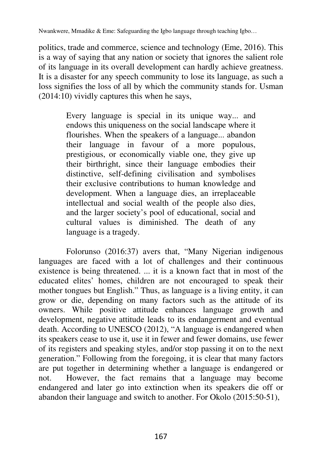politics, trade and commerce, science and technology (Eme, 2016). This is a way of saying that any nation or society that ignores the salient role of its language in its overall development can hardly achieve greatness. It is a disaster for any speech community to lose its language, as such a loss signifies the loss of all by which the community stands for. Usman (2014:10) vividly captures this when he says,

> Every language is special in its unique way... and endows this uniqueness on the social landscape where it flourishes. When the speakers of a language... abandon their language in favour of a more populous, prestigious, or economically viable one, they give up their birthright, since their language embodies their distinctive, self-defining civilisation and symbolises their exclusive contributions to human knowledge and development. When a language dies, an irreplaceable intellectual and social wealth of the people also dies, and the larger society's pool of educational, social and cultural values is diminished. The death of any language is a tragedy.

 Folorunso (2016:37) avers that, "Many Nigerian indigenous languages are faced with a lot of challenges and their continuous existence is being threatened. ... it is a known fact that in most of the educated elites' homes, children are not encouraged to speak their mother tongues but English." Thus, as language is a living entity, it can grow or die, depending on many factors such as the attitude of its owners. While positive attitude enhances language growth and development, negative attitude leads to its endangerment and eventual death. According to UNESCO (2012), "A language is endangered when its speakers cease to use it, use it in fewer and fewer domains, use fewer of its registers and speaking styles, and/or stop passing it on to the next generation." Following from the foregoing, it is clear that many factors are put together in determining whether a language is endangered or not. However, the fact remains that a language may become endangered and later go into extinction when its speakers die off or abandon their language and switch to another. For Okolo (2015:50-51),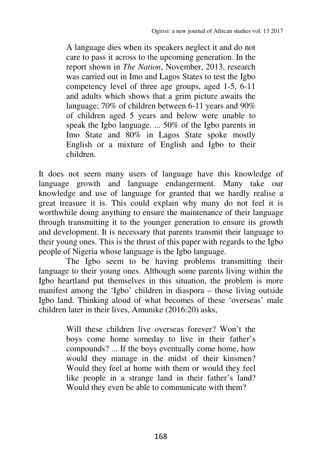A language dies when its speakers neglect it and do not care to pass it across to the upcoming generation. In the report shown in *The Nation*, November, 2013, research was carried out in Imo and Lagos States to test the Igbo competency level of three age groups, aged 1-5, 6-11 and adults which shows that a grim picture awaits the language; 70% of children between 6-11 years and 90% of children aged 5 years and below were unable to speak the Igbo language. ... 50% of the Igbo parents in Imo State and 80% in Lagos State spoke mostly English or a mixture of English and Igbo to their children.

It does not seem many users of language have this knowledge of language growth and language endangerment. Many take our knowledge and use of language for granted that we hardly realise a great treasure it is. This could explain why many do not feel it is worthwhile doing anything to ensure the maintenance of their language through transmitting it to the younger generation to ensure its growth and development. It is necessary that parents transmit their language to their young ones. This is the thrust of this paper with regards to the Igbo people of Nigeria whose language is the Igbo language.

 The Igbo seem to be having problems transmitting their language to their young ones. Although some parents living within the Igbo heartland put themselves in this situation, the problem is more manifest among the 'Igbo' children in diaspora – those living outside Igbo land. Thinking aloud of what becomes of these 'overseas' male children later in their lives, Amunike (2016:20) asks,

> Will these children live overseas forever? Won't the boys come home someday to live in their father's compounds? ... If the boys eventually come home, how would they manage in the midst of their kinsmen? Would they feel at home with them or would they feel like people in a strange land in their father's land? Would they even be able to communicate with them?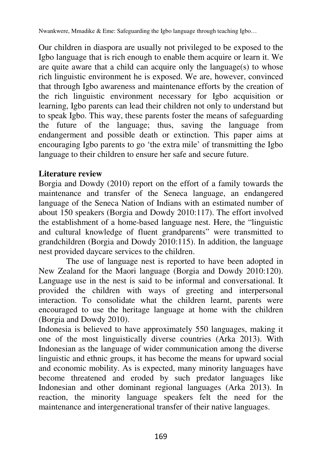Our children in diaspora are usually not privileged to be exposed to the Igbo language that is rich enough to enable them acquire or learn it. We are quite aware that a child can acquire only the language(s) to whose rich linguistic environment he is exposed. We are, however, convinced that through Igbo awareness and maintenance efforts by the creation of the rich linguistic environment necessary for Igbo acquisition or learning, Igbo parents can lead their children not only to understand but to speak Igbo. This way, these parents foster the means of safeguarding the future of the language; thus, saving the language from endangerment and possible death or extinction. This paper aims at encouraging Igbo parents to go 'the extra mile' of transmitting the Igbo language to their children to ensure her safe and secure future.

### **Literature review**

Borgia and Dowdy (2010) report on the effort of a family towards the maintenance and transfer of the Seneca language, an endangered language of the Seneca Nation of Indians with an estimated number of about 150 speakers (Borgia and Dowdy 2010:117). The effort involved the establishment of a home-based language nest. Here, the "linguistic and cultural knowledge of fluent grandparents" were transmitted to grandchildren (Borgia and Dowdy 2010:115). In addition, the language nest provided daycare services to the children.

 The use of language nest is reported to have been adopted in New Zealand for the Maori language (Borgia and Dowdy 2010:120). Language use in the nest is said to be informal and conversational. It provided the children with ways of greeting and interpersonal interaction. To consolidate what the children learnt, parents were encouraged to use the heritage language at home with the children (Borgia and Dowdy 2010).

Indonesia is believed to have approximately 550 languages, making it one of the most linguistically diverse countries (Arka 2013). With Indonesian as the language of wider communication among the diverse linguistic and ethnic groups, it has become the means for upward social and economic mobility. As is expected, many minority languages have become threatened and eroded by such predator languages like Indonesian and other dominant regional languages (Arka 2013). In reaction, the minority language speakers felt the need for the maintenance and intergenerational transfer of their native languages.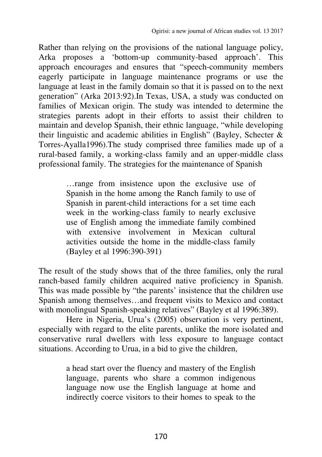Rather than relying on the provisions of the national language policy, Arka proposes a 'bottom-up community-based approach'. This approach encourages and ensures that "speech-community members eagerly participate in language maintenance programs or use the language at least in the family domain so that it is passed on to the next generation" (Arka 2013:92).In Texas, USA, a study was conducted on families of Mexican origin. The study was intended to determine the strategies parents adopt in their efforts to assist their children to maintain and develop Spanish, their ethnic language, "while developing their linguistic and academic abilities in English" (Bayley, Schecter & Torres-Ayalla1996).The study comprised three families made up of a rural-based family, a working-class family and an upper-middle class professional family. The strategies for the maintenance of Spanish

> …range from insistence upon the exclusive use of Spanish in the home among the Ranch family to use of Spanish in parent-child interactions for a set time each week in the working-class family to nearly exclusive use of English among the immediate family combined with extensive involvement in Mexican cultural activities outside the home in the middle-class family (Bayley et al 1996:390-391)

The result of the study shows that of the three families, only the rural ranch-based family children acquired native proficiency in Spanish. This was made possible by "the parents' insistence that the children use Spanish among themselves…and frequent visits to Mexico and contact with monolingual Spanish-speaking relatives" (Bayley et al 1996:389).

 Here in Nigeria, Urua's (2005) observation is very pertinent, especially with regard to the elite parents, unlike the more isolated and conservative rural dwellers with less exposure to language contact situations. According to Urua, in a bid to give the children,

> a head start over the fluency and mastery of the English language, parents who share a common indigenous language now use the English language at home and indirectly coerce visitors to their homes to speak to the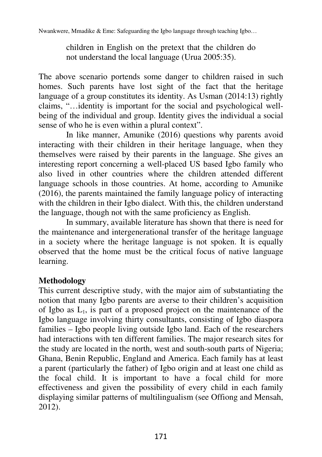children in English on the pretext that the children do not understand the local language (Urua 2005:35).

The above scenario portends some danger to children raised in such homes. Such parents have lost sight of the fact that the heritage language of a group constitutes its identity. As Usman (2014:13) rightly claims, "…identity is important for the social and psychological wellbeing of the individual and group. Identity gives the individual a social sense of who he is even within a plural context".

 In like manner, Amunike (2016) questions why parents avoid interacting with their children in their heritage language, when they themselves were raised by their parents in the language. She gives an interesting report concerning a well-placed US based Igbo family who also lived in other countries where the children attended different language schools in those countries. At home, according to Amunike (2016), the parents maintained the family language policy of interacting with the children in their Igbo dialect. With this, the children understand the language, though not with the same proficiency as English.

 In summary, available literature has shown that there is need for the maintenance and intergenerational transfer of the heritage language in a society where the heritage language is not spoken. It is equally observed that the home must be the critical focus of native language learning.

## **Methodology**

This current descriptive study, with the major aim of substantiating the notion that many Igbo parents are averse to their children's acquisition of Igbo as  $L_1$ , is part of a proposed project on the maintenance of the Igbo language involving thirty consultants, consisting of Igbo diaspora families – Igbo people living outside Igbo land. Each of the researchers had interactions with ten different families. The major research sites for the study are located in the north, west and south-south parts of Nigeria; Ghana, Benin Republic, England and America. Each family has at least a parent (particularly the father) of Igbo origin and at least one child as the focal child. It is important to have a focal child for more effectiveness and given the possibility of every child in each family displaying similar patterns of multilingualism (see Offiong and Mensah, 2012).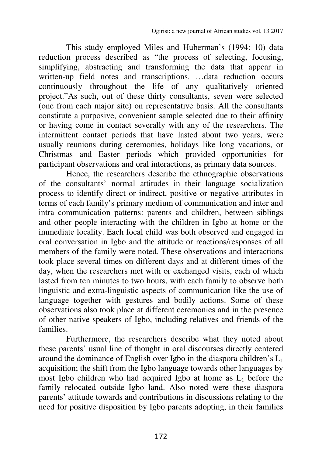This study employed Miles and Huberman's (1994: 10) data reduction process described as "the process of selecting, focusing, simplifying, abstracting and transforming the data that appear in written-up field notes and transcriptions. ... data reduction occurs continuously throughout the life of any qualitatively oriented project."As such, out of these thirty consultants, seven were selected (one from each major site) on representative basis. All the consultants constitute a purposive, convenient sample selected due to their affinity or having come in contact severally with any of the researchers. The intermittent contact periods that have lasted about two years, were usually reunions during ceremonies, holidays like long vacations, or Christmas and Easter periods which provided opportunities for participant observations and oral interactions, as primary data sources.

 Hence, the researchers describe the ethnographic observations of the consultants' normal attitudes in their language socialization process to identify direct or indirect, positive or negative attributes in terms of each family's primary medium of communication and inter and intra communication patterns: parents and children, between siblings and other people interacting with the children in Igbo at home or the immediate locality. Each focal child was both observed and engaged in oral conversation in Igbo and the attitude or reactions/responses of all members of the family were noted. These observations and interactions took place several times on different days and at different times of the day, when the researchers met with or exchanged visits, each of which lasted from ten minutes to two hours, with each family to observe both linguistic and extra-linguistic aspects of communication like the use of language together with gestures and bodily actions. Some of these observations also took place at different ceremonies and in the presence of other native speakers of Igbo, including relatives and friends of the families.

 Furthermore, the researchers describe what they noted about these parents' usual line of thought in oral discourses directly centered around the dominance of English over Igbo in the diaspora children's  $L_1$ acquisition; the shift from the Igbo language towards other languages by most Igbo children who had acquired Igbo at home as  $L_1$  before the family relocated outside Igbo land. Also noted were these diaspora parents' attitude towards and contributions in discussions relating to the need for positive disposition by Igbo parents adopting, in their families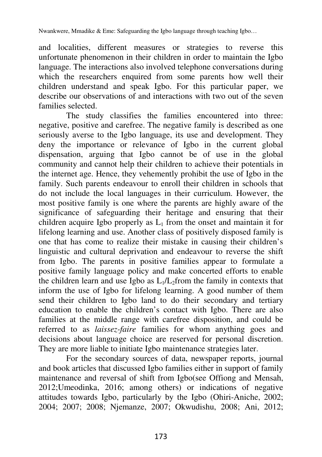and localities, different measures or strategies to reverse this unfortunate phenomenon in their children in order to maintain the Igbo language. The interactions also involved telephone conversations during which the researchers enquired from some parents how well their children understand and speak Igbo. For this particular paper, we describe our observations of and interactions with two out of the seven families selected.

 The study classifies the families encountered into three: negative, positive and carefree. The negative family is described as one seriously averse to the Igbo language, its use and development. They deny the importance or relevance of Igbo in the current global dispensation, arguing that Igbo cannot be of use in the global community and cannot help their children to achieve their potentials in the internet age. Hence, they vehemently prohibit the use of Igbo in the family. Such parents endeavour to enroll their children in schools that do not include the local languages in their curriculum. However, the most positive family is one where the parents are highly aware of the significance of safeguarding their heritage and ensuring that their children acquire Igbo properly as  $L_1$  from the onset and maintain it for lifelong learning and use. Another class of positively disposed family is one that has come to realize their mistake in causing their children's linguistic and cultural deprivation and endeavour to reverse the shift from Igbo. The parents in positive families appear to formulate a positive family language policy and make concerted efforts to enable the children learn and use Igbo as  $L_1/L_2$  from the family in contexts that inform the use of Igbo for lifelong learning. A good number of them send their children to Igbo land to do their secondary and tertiary education to enable the children's contact with Igbo. There are also families at the middle range with carefree disposition, and could be referred to as *laissez-faire* families for whom anything goes and decisions about language choice are reserved for personal discretion. They are more liable to initiate Igbo maintenance strategies later.

 For the secondary sources of data, newspaper reports, journal and book articles that discussed Igbo families either in support of family maintenance and reversal of shift from Igbo(see Offiong and Mensah, 2012;Umeodinka, 2016; among others) or indications of negative attitudes towards Igbo, particularly by the Igbo (Ohiri-Aniche, 2002; 2004; 2007; 2008; Njemanze, 2007; Okwudishu, 2008; Ani, 2012;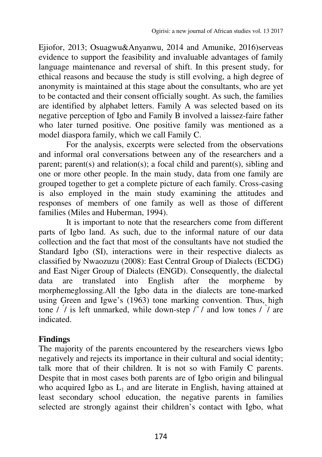Ejiofor, 2013; Osuagwu&Anyanwu, 2014 and Amunike, 2016)serveas evidence to support the feasibility and invaluable advantages of family language maintenance and reversal of shift. In this present study, for ethical reasons and because the study is still evolving, a high degree of anonymity is maintained at this stage about the consultants, who are yet to be contacted and their consent officially sought. As such, the families are identified by alphabet letters. Family A was selected based on its negative perception of Igbo and Family B involved a laissez-faire father who later turned positive. One positive family was mentioned as a model diaspora family, which we call Family C.

 For the analysis, excerpts were selected from the observations and informal oral conversations between any of the researchers and a parent; parent(s) and relation(s); a focal child and parent(s), sibling and one or more other people. In the main study, data from one family are grouped together to get a complete picture of each family. Cross-casing is also employed in the main study examining the attitudes and responses of members of one family as well as those of different families (Miles and Huberman, 1994).

 It is important to note that the researchers come from different parts of Igbo land. As such, due to the informal nature of our data collection and the fact that most of the consultants have not studied the Standard Igbo (SI), interactions were in their respective dialects as classified by Nwaozuzu (2008): East Central Group of Dialects (ECDG) and East Niger Group of Dialects (ENGD). Consequently, the dialectal data are translated into English after the morpheme by morphemeglossing.All the Igbo data in the dialects are tone-marked using Green and Igwe's (1963) tone marking convention. Thus, high tone  $\frac{1}{7}$  is left unmarked, while down-step  $\frac{1}{7}$  and low tones  $\frac{1}{7}$  are indicated.

# **Findings**

The majority of the parents encountered by the researchers views Igbo negatively and rejects its importance in their cultural and social identity; talk more that of their children. It is not so with Family C parents. Despite that in most cases both parents are of Igbo origin and bilingual who acquired Igbo as  $L_1$  and are literate in English, having attained at least secondary school education, the negative parents in families selected are strongly against their children's contact with Igbo, what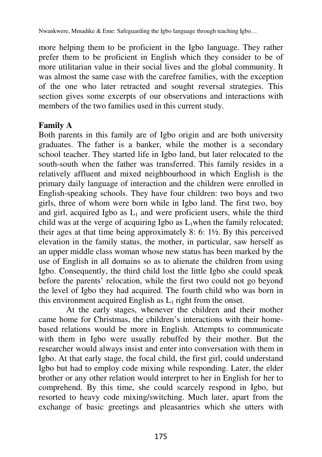more helping them to be proficient in the Igbo language. They rather prefer them to be proficient in English which they consider to be of more utilitarian value in their social lives and the global community. It was almost the same case with the carefree families, with the exception of the one who later retracted and sought reversal strategies. This section gives some excerpts of our observations and interactions with members of the two families used in this current study.

### **Family A**

Both parents in this family are of Igbo origin and are both university graduates. The father is a banker, while the mother is a secondary school teacher. They started life in Igbo land, but later relocated to the south-south when the father was transferred. This family resides in a relatively affluent and mixed neighbourhood in which English is the primary daily language of interaction and the children were enrolled in English-speaking schools. They have four children: two boys and two girls, three of whom were born while in Igbo land. The first two, boy and girl, acquired Igbo as  $L_1$  and were proficient users, while the third child was at the verge of acquiring Igbo as  $L_1$ when the family relocated; their ages at that time being approximately 8: 6: 1½. By this perceived elevation in the family status, the mother, in particular, saw herself as an upper middle class woman whose new status has been marked by the use of English in all domains so as to alienate the children from using Igbo. Consequently, the third child lost the little Igbo she could speak before the parents' relocation, while the first two could not go beyond the level of Igbo they had acquired. The fourth child who was born in this environment acquired English as  $L_1$  right from the onset.

 At the early stages, whenever the children and their mother came home for Christmas, the children's interactions with their homebased relations would be more in English. Attempts to communicate with them in Igbo were usually rebuffed by their mother. But the researcher would always insist and enter into conversation with them in Igbo. At that early stage, the focal child, the first girl, could understand Igbo but had to employ code mixing while responding. Later, the elder brother or any other relation would interpret to her in English for her to comprehend. By this time, she could scarcely respond in Igbo, but resorted to heavy code mixing/switching. Much later, apart from the exchange of basic greetings and pleasantries which she utters with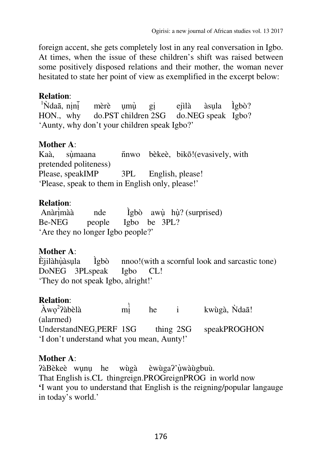foreign accent, she gets completely lost in any real conversation in Igbo. At times, when the issue of these children's shift was raised between some positively disposed relations and their mother, the woman never hesitated to state her point of view as exemplified in the excerpt below:

### **Relation**:

 $\mathrm{1N}$ daā, nini mèrè ụmụ̀ gị<br>do.PST children 2SG gị ejìlà àsụla Ìgbò? HON., why do.PST children 2SG do.NEG speak Igbo? 'Aunty, why don't your children speak Igbo?'

### **Mother A**:

Kaà, sùmaana ñnwo bèkeè, bikō!(evasively, with pretended politeness) Please, speakIMP 3PL English, please! 'Please, speak to them in English only, please!'

### **Relation**:

 Anàrị̀màà nde Ìgbò awụ̀ hụ̀? (surprised) Be-NEG people Igbo be 3PL? 'Are they no longer Igbo people?'

### **Mother A**:

Èjilàhụ̀àsụla Ìgbò nnoo!(with a scornful look and sarcastic tone) DoNEG 3PLspeak Igbo CL! 'They do not speak Igbo, alright!'

### **Relation**:

Àwọ<sup>2</sup>?àbèlà mị mi he i kwùgà, Ndaā! (alarmed) UnderstandNEG.PERF 1SG thing 2SG speakPROGHON 'I don't understand what you mean, Aunty!'

## **Mother A**:

ʔàBèkeè wụnụ he wùgà èwùgaʔ'ụ̀wàùgbuù. That English is.CL thingreign.PROGreignPROG in world now **'**I want you to understand that English is the reigning/popular langauge in today's world.'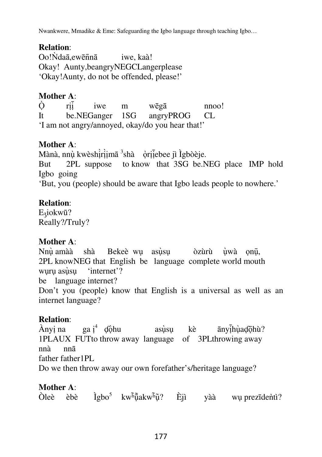# **Relation**:

Oo!Ǹdaā,ewēn̄nā iwe, kaà! Okay! Aunty,beangryNEGCLangerplease 'Okay!Aunty, do not be offended, please!'

# **Mother A**:

Ọ̀ rịị̄ iwe m wēgā nnoo! It be.NEGanger 1SG angryPROG CL 'I am not angry/annoyed, okay/do you hear that!'

## **Mother A**:

Mànà, nnụ̀ kwèshiriimā <sup>3</sup>shà oriiebee jì Ìgbòèje. But 2PL suppose to know that 3SG be.NEG place IMP hold Igbo going 'But, you (people) should be aware that Igbo leads people to nowhere.'

## **Relation**:

Eziokwū? Really?/Truly?

## **Mother A**:

Nnụ̀ amàà shà Bekeè wụ asụ̀sụ òzùrù ụ̀wà ọnụ̄, 2PL knowNEG that English be language complete world mouth wuru asùsu 'internet'?

be language internet?

Don't you (people) know that English is a universal as well as an internet language?

# **Relation**:

Ànyị na ga ị ga  $i^4$  dòhu asùsu kè ānyihùadōhù? 1PLAUX FUTto throw away language of 3PLthrowing away nnà nnā father father1PL

Do we then throw away our own forefather's/heritage language?

# **Mother A**:

|  |  |  | Òleè èbè Ìgbo <sup>5</sup> kw <sup>h</sup> ũakw <sup>h</sup> ũ? Èjì yàà |  |  | wu prezīdenti? |
|--|--|--|-------------------------------------------------------------------------|--|--|----------------|
|--|--|--|-------------------------------------------------------------------------|--|--|----------------|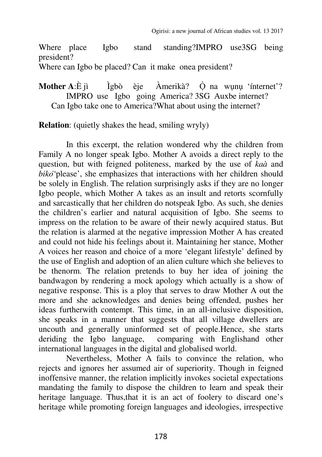Where place Igbo stand standing?IMPRO use3SG being president?

Where can Igbo be placed? Can it make onea president?

**Mother A**:È jì Ìgbò èje Àmerikà? Ò na wụnụ 'ínternet'? IMPRO use Igbo going America? 3SG Auxbe internet? Can Igbo take one to America?What about using the internet?

**Relation**: (quietly shakes the head, smiling wryly)

 In this excerpt, the relation wondered why the children from Family A no longer speak Igbo. Mother A avoids a direct reply to the question, but with feigned politeness, marked by the use of *kaà* and *biko*ֿ*'*please', she emphasizes that interactions with her children should be solely in English. The relation surprisingly asks if they are no longer Igbo people, which Mother A takes as an insult and retorts scornfully and sarcastically that her children do notspeak Igbo. As such, she denies the children's earlier and natural acquisition of Igbo. She seems to impress on the relation to be aware of their newly acquired status. But the relation is alarmed at the negative impression Mother A has created and could not hide his feelings about it. Maintaining her stance, Mother A voices her reason and choice of a more 'elegant lifestyle' defined by the use of English and adoption of an alien culture which she believes to be thenorm. The relation pretends to buy her idea of joining the bandwagon by rendering a mock apology which actually is a show of negative response. This is a ploy that serves to draw Mother A out the more and she acknowledges and denies being offended, pushes her ideas furtherwith contempt. This time, in an all-inclusive disposition, she speaks in a manner that suggests that all village dwellers are uncouth and generally uninformed set of people.Hence, she starts deriding the Igbo language, comparing with Englishand other international languages in the digital and globalised world.

 Nevertheless, Mother A fails to convince the relation, who rejects and ignores her assumed air of superiority. Though in feigned inoffensive manner, the relation implicitly invokes societal expectations mandating the family to dispose the children to learn and speak their heritage language. Thus,that it is an act of foolery to discard one's heritage while promoting foreign languages and ideologies, irrespective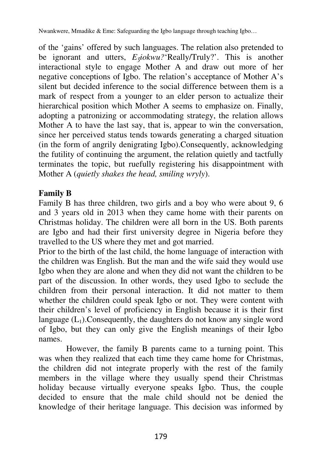of the 'gains' offered by such languages. The relation also pretended to be ignorant and utters,  $E_z ioku$ <sup>2</sup>'Really/Truly?'. This is another interactional style to engage Mother A and draw out more of her negative conceptions of Igbo. The relation's acceptance of Mother A's silent but decided inference to the social difference between them is a mark of respect from a younger to an elder person to actualize their hierarchical position which Mother A seems to emphasize on. Finally, adopting a patronizing or accommodating strategy, the relation allows Mother A to have the last say, that is, appear to win the conversation, since her perceived status tends towards generating a charged situation (in the form of angrily denigrating Igbo).Consequently, acknowledging the futility of continuing the argument, the relation quietly and tactfully terminates the topic, but ruefully registering his disappointment with Mother A (*quietly shakes the head, smiling wryly*).

### **Family B**

Family B has three children, two girls and a boy who were about 9, 6 and 3 years old in 2013 when they came home with their parents on Christmas holiday. The children were all born in the US. Both parents are Igbo and had their first university degree in Nigeria before they travelled to the US where they met and got married.

Prior to the birth of the last child, the home language of interaction with the children was English. But the man and the wife said they would use Igbo when they are alone and when they did not want the children to be part of the discussion. In other words, they used Igbo to seclude the children from their personal interaction. It did not matter to them whether the children could speak Igbo or not. They were content with their children's level of proficiency in English because it is their first language  $(L_1)$ . Consequently, the daughters do not know any single word of Igbo, but they can only give the English meanings of their Igbo names.

 However, the family B parents came to a turning point. This was when they realized that each time they came home for Christmas, the children did not integrate properly with the rest of the family members in the village where they usually spend their Christmas holiday because virtually everyone speaks Igbo. Thus, the couple decided to ensure that the male child should not be denied the knowledge of their heritage language. This decision was informed by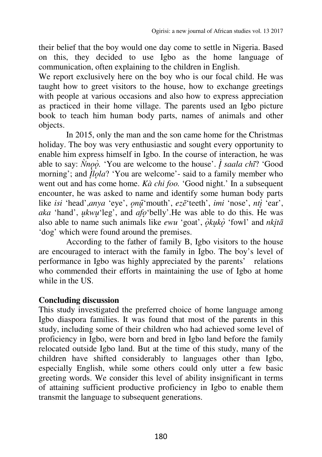their belief that the boy would one day come to settle in Nigeria. Based on this, they decided to use Igbo as the home language of communication, often explaining to the children in English.

We report exclusively here on the boy who is our focal child. He was taught how to greet visitors to the house, how to exchange greetings with people at various occasions and also how to express appreciation as practiced in their home village. The parents used an Igbo picture book to teach him human body parts, names of animals and other objects.

 In 2015, only the man and the son came home for the Christmas holiday. The boy was very enthusiastic and sought every opportunity to enable him express himself in Igbo. In the course of interaction, he was able to say: *Ǹno̟ò̟ .* 'You are welcome to the house'. *Ì̟ saala chī*ֿ? 'Good morning'; and *Ilola*? 'You are welcome'- said to a family member who went out and has come home. *Kà chi foo.* 'Good night.' In a subsequent encounter, he was asked to name and identify some human body parts like *isi* 'head',*anya* 'eye', *o̟nū̟*'mouth', *ezē*'teeth', *imi* 'nose', *ntı̟* 'ear', *aka* 'hand', *u̟kwu̟*'leg', and *afo̟*'belly'.He was able to do this. He was also able to name such animals like *ewu* 'goat', *ò̟ku̟kò̟* 'fowl' and *nki̟tā* 'dog' which were found around the premises.

 According to the father of family B, Igbo visitors to the house are encouraged to interact with the family in Igbo. The boy's level of performance in Igbo was highly appreciated by the parents' relations who commended their efforts in maintaining the use of Igbo at home while in the US.

### **Concluding discussion**

This study investigated the preferred choice of home language among Igbo diaspora families. It was found that most of the parents in this study, including some of their children who had achieved some level of proficiency in Igbo, were born and bred in Igbo land before the family relocated outside Igbo land. But at the time of this study, many of the children have shifted considerably to languages other than Igbo, especially English, while some others could only utter a few basic greeting words. We consider this level of ability insignificant in terms of attaining sufficient productive proficiency in Igbo to enable them transmit the language to subsequent generations.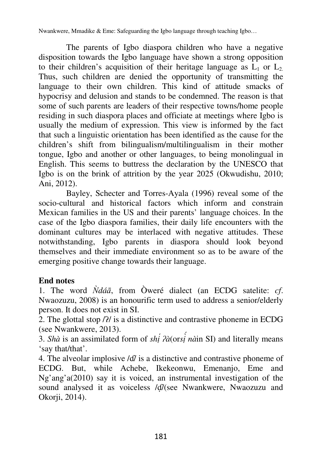The parents of Igbo diaspora children who have a negative disposition towards the Igbo language have shown a strong opposition to their children's acquisition of their heritage language as  $L_1$  or  $L_2$ . Thus, such children are denied the opportunity of transmitting the language to their own children. This kind of attitude smacks of hypocrisy and delusion and stands to be condemned. The reason is that some of such parents are leaders of their respective towns/home people residing in such diaspora places and officiate at meetings where Igbo is usually the medium of expression. This view is informed by the fact that such a linguistic orientation has been identified as the cause for the children's shift from bilingualism/multilingualism in their mother tongue, Igbo and another or other languages, to being monolingual in English. This seems to buttress the declaration by the UNESCO that Igbo is on the brink of attrition by the year 2025 (Okwudishu, 2010; Ani, 2012).

 Bayley, Schecter and Torres-Ayala (1996) reveal some of the socio-cultural and historical factors which inform and constrain Mexican families in the US and their parents' language choices. In the case of the Igbo diaspora families, their daily life encounters with the dominant cultures may be interlaced with negative attitudes. These notwithstanding, Igbo parents in diaspora should look beyond themselves and their immediate environment so as to be aware of the emerging positive change towards their language.

## **End notes**

1. The word *Ǹdáā*, from Òweré dialect (an ECDG satelite: *cf*. Nwaozuzu, 2008) is an honourific term used to address a senior/elderly person. It does not exist in SI.

2. The glottal stop /ʔ/ is a distinctive and contrastive phoneme in ECDG (see Nwankwere, 2013).

3. *Shà* is an assimilated form of *shị́ ʔà*(or*sị̀ nà*in SI) and literally means 'say that/that'.

4. The alveolar implosive /ɗ/ is a distinctive and contrastive phoneme of ECDG. But, while Achebe, Ikekeonwu, Emenanjo, Eme and Ng'ang'a(2010) say it is voiced, an instrumental investigation of the sound analysed it as voiceless /d/(see Nwankwere, Nwaozuzu and Okorji, 2014).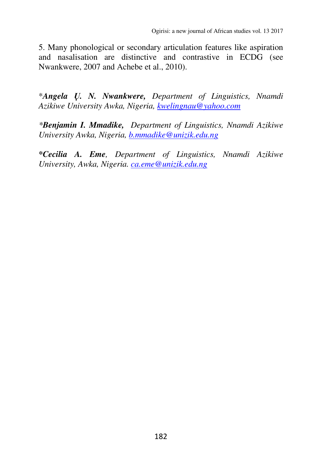5. Many phonological or secondary articulation features like aspiration and nasalisation are distinctive and contrastive in ECDG (see Nwankwere, 2007 and Achebe et al., 2010).

\**Angela Ụ. N. Nwankwere, Department of Linguistics, Nnamdi Azikiwe University Awka, Nigeria, kwelingnau@yahoo.com* 

*\*Benjamin I. Mmadike, Department of Linguistics, Nnamdi Azikiwe University Awka, Nigeria, b.mmadike@unizik.edu.ng* 

*\*Cecilia A. Eme, Department of Linguistics, Nnamdi Azikiwe University, Awka, Nigeria. ca.eme@unizik.edu.ng*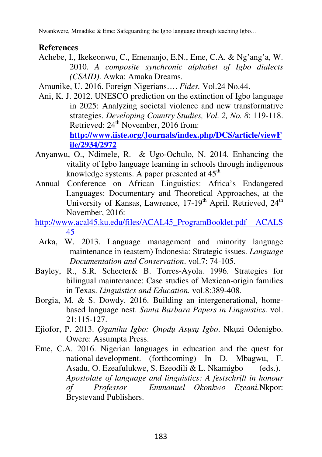#### **References**

- Achebe, I., Ikekeonwu, C., Emenanjo, E.N., Eme, C.A. & Ng'ang'a, W. 2010. *A composite synchronic alphabet of Igbo dialects (CSAID)*. Awka: Amaka Dreams.
- Amunike, U. 2016. Foreign Nigerians…. *Fides.* Vol.24 No.44.
- Ani, K. J. 2012. UNESCO prediction on the extinction of Igbo language in 2025: Analyzing societal violence and new transformative strategies. *Developing Country Studies, Vol. 2, No. 8*: 119-118. Retrieved: 24<sup>th</sup> November, 2016 from: **http://www.iiste.org/Journals/index.php/DCS/article/viewF ile/2934/2972**
- Anyanwu, O., Ndimele, R. & Ugo-Ochulo, N. 2014. Enhancing the vitality of Igbo language learning in schools through indigenous knowledge systems. A paper presented at  $45<sup>th</sup>$
- Annual Conference on African Linguistics: Africa's Endangered Languages: Documentary and Theoretical Approaches, at the University of Kansas, Lawrence, 17-19<sup>th</sup> April. Retrieved, 24<sup>th</sup> November, 2016:
- http://www.acal45.ku.edu/files/ACAL45\_ProgramBooklet.pdf ACALS 45
- Arka, W. 2013. Language management and minority language maintenance in (eastern) Indonesia: Strategic issues. *Language Documentation and Conservation*. vol.7: 74-105.
- Bayley, R., S.R. Schecter& B. Torres-Ayola. 1996. Strategies for bilingual maintenance: Case studies of Mexican-origin families in Texas. *Linguistics and Education.* vol.8:389-408.
- Borgia, M. & S. Dowdy. 2016. Building an intergenerational, homebased language nest. *Santa Barbara Papers in Linguistics.* vol. 21:115-127.
- Ejiofor, P. 2013. *Ọganihu Igbo: Ọnọdụ Asụsụ Igbo*. Nkụzi Odenigbo. Owere: Assumpta Press.
- Eme, C.A. 2016. Nigerian languages in education and the quest for national development. (forthcoming) In D. Mbagwu, F. Asadu, O. Ezeafulukwe, S. Ezeodili & L. Nkamigbo (eds.). *Apostolate of language and linguistics: A festschrift in honour of Professor Emmanuel Okonkwo Ezeani.*Nkpor: Brystevand Publishers.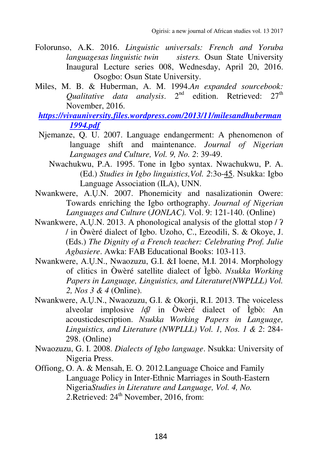- Folorunso, A.K. 2016. *Linguistic universals: French and Yoruba languagesas linguistic twin sisters.* Osun State University Inaugural Lecture series 008, Wednesday, April 20, 2016. Osogbo: Osun State University.
- Miles, M. B. & Huberman, A. M. 1994.*An expanded sourcebook: Qualitative data analysis.*  $2<sup>nd</sup>$  edition. Retrieved:  $27<sup>th</sup>$ November, 2016.
- *https://vivauniversity.files.wordpress.com/2013/11/milesandhuberman 1994.pdf*
- Njemanze, Q. U. 2007. Language endangerment: A phenomenon of language shift and maintenance. *Journal of Nigerian Languages and Culture, Vol. 9, No. 2*: 39-49.
	- Nwachukwu, P.A. 1995. Tone in Igbo syntax. Nwachukwu, P. A. (Ed.) *Studies in Igbo linguistics,Vol. 2*:3o-45. Nsukka: Igbo Language Association (ILA), UNN.
- Nwankwere, A.Ụ.N. 2007. Phonemicity and nasalizationin Owere: Towards enriching the Igbo orthography. *Journal of Nigerian Languages and Culture* (*JONLAC).* Vol. 9: 121-140. (Online)
- Nwankwere, A.Ụ.N. 2013. A phonological analysis of the glottal stop / ʔ / in Òwèré dialect of Igbo. Uzoho, C., Ezeodili, S. & Okoye, J. (Eds.) *The Dignity of a French teacher: Celebrating Prof. Julie Agbasiere*. Awka: FAB Educational Books: 103-113.
- Nwankwere, A.Ụ.N., Nwaozuzu, G.I. &I loene, M.I. 2014. Morphology of clitics in Òwèré satellite dialect of Ìgbò. *Nsukka Working Papers in Language, Linguistics, and Literature(NWPLLL) Vol. 2, Nos 3 & 4* (Online).
- Nwankwere, A.Ụ.N., Nwaozuzu, G.I. & Okorji, R.I. 2013. The voiceless alveolar implosive  $/d/$  in Òwèré dialect of Ìgbò: An acousticdescription. *Nsukka Working Papers in Language, Linguistics, and Literature (NWPLLL) Vol. 1, Nos. 1 & 2*: 284- 298. (Online)
- Nwaozuzu, G. I. 2008. *Dialects of Igbo language*. Nsukka: University of Nigeria Press.
- Offiong, O. A. & Mensah, E. O. 2012.Language Choice and Family Language Policy in Inter-Ethnic Marriages in South-Eastern Nigeria*Studies in Literature and Language, Vol. 4, No.*  2.Retrieved: 24<sup>th</sup> November, 2016, from: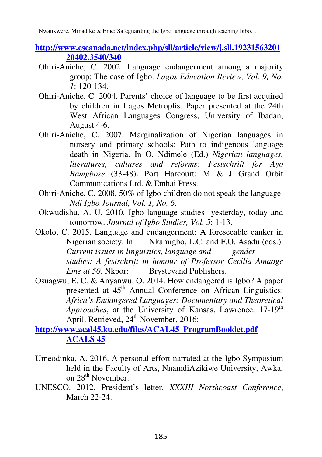- **http://www.cscanada.net/index.php/sll/article/view/j.sll.19231563201 20402.3540/340**
- Ohiri-Aniche, C. 2002. Language endangerment among a majority group: The case of Igbo. *Lagos Education Review, Vol. 9, No. 1*: 120-134.
- Ohiri-Aniche, C. 2004. Parents' choice of language to be first acquired by children in Lagos Metroplis. Paper presented at the 24th West African Languages Congress, University of Ibadan, August 4-6.
- Ohiri-Aniche, C. 2007. Marginalization of Nigerian languages in nursery and primary schools: Path to indigenous language death in Nigeria. In O. Ndimele (Ed.) *Nigerian languages, literatures, cultures and reforms: Festschrift for Ayo Bamgbose* (33-48). Port Harcourt: M & J Grand Orbit Communications Ltd. & Emhai Press.
- Ohiri-Aniche, C. 2008. 50% of Igbo children do not speak the language. *Ndi Igbo Journal, Vol. 1, No. 6*.
- Okwudishu, A. U. 2010. Igbo language studies yesterday, today and tomorrow. *Journal of Igbo Studies, Vol. 5*: 1-13.
- Okolo, C. 2015. Language and endangerment: A foreseeable canker in Nigerian society. In Nkamigbo, L.C. and F.O. Asadu (eds.). *Current issues in linguistics, language and gender studies: A festschrift in honour of Professor Cecilia Amaoge*  **Exercise Brystevand Publishers.**
- Osuagwu, E. C. & Anyanwu, O. 2014. How endangered is Igbo? A paper presented at 45<sup>th</sup> Annual Conference on African Linguistics: *Africa's Endangered Languages: Documentary and Theoretical Approaches*, at the University of Kansas, Lawrence, 17-19<sup>th</sup> April. Retrieved, 24<sup>th</sup> November, 2016:

## **http://www.acal45.ku.edu/files/ACAL45\_ProgramBooklet.pdf ACALS 45**

- Umeodinka, A. 2016. A personal effort narrated at the Igbo Symposium held in the Faculty of Arts, NnamdiAzikiwe University, Awka, on 28<sup>th</sup> November.
- UNESCO. 2012. President's letter. *XXXIII Northcoast Conference*, March 22-24.